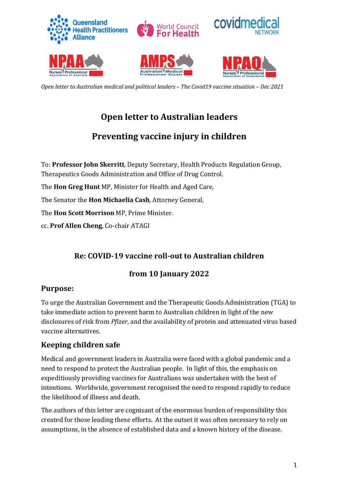

# **Open letter to Australian leaders**

# **Preventing vaccine injury in children**

To: **Professor John Skerritt**, Deputy Secretary, Health Products Regulation Group, Therapeutics Goods Administration and Office of Drug Control.

The **Hon Greg Hunt** MP, Minister for Health and Aged Care,

The Senator the **Hon Michaelia Cash**, Attorney General,

The **Hon Scott Morrison** MP, Prime Minister.

cc. **Prof Allen Cheng**, Co-chair ATAGI 

## **Re: COVID-19 vaccine roll-out to Australian children**

## **from 10 January 2022**

### Purpose:

To urge the Australian Government and the Therapeutic Goods Administration (TGA) to take immediate action to prevent harm to Australian children in light of the new disclosures of risk from *Pfizer*, and the availability of protein and attenuated virus based vaccine alternatives.

### **Keeping children safe**

Medical and government leaders in Australia were faced with a global pandemic and a need to respond to protect the Australian people. In light of this, the emphasis on expeditiously providing vaccines for Australians was undertaken with the best of intentions. Worldwide, government recognised the need to respond rapidly to reduce the likelihood of illness and death.

The authors of this letter are cognisant of the enormous burden of responsibility this created for those leading these efforts. At the outset it was often necessary to rely on assumptions, in the absence of established data and a known history of the disease.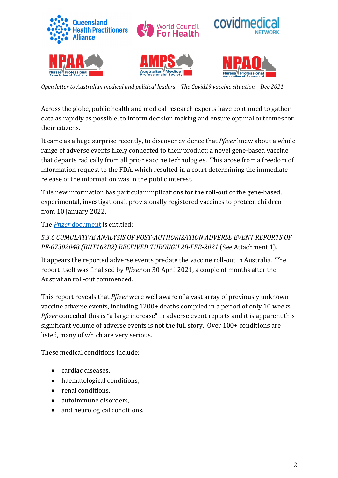

*Open letter to Australian medical and political leaders - The Covid19 vaccine situation - Dec 2021* 

Across the globe, public health and medical research experts have continued to gather data as rapidly as possible, to inform decision making and ensure optimal outcomes for their citizens.

It came as a huge surprise recently, to discover evidence that *Pfizer* knew about a whole range of adverse events likely connected to their product; a novel gene-based vaccine that departs radically from all prior vaccine technologies. This arose from a freedom of information request to the FDA, which resulted in a court determining the immediate release of the information was in the public interest.

This new information has particular implications for the roll-out of the gene-based, experimental, investigational, provisionally registered vaccines to preteen children from 10 January 2022.

The *Pfizer* document is entitled:

### 5.3.6 CUMULATIVE ANALYSIS OF POST-AUTHORIZATION ADVERSE EVENT REPORTS OF *PF-07302048 (BNT162B2) RECEIVED THROUGH 28-FEB-2021* (See Attachment 1).

It appears the reported adverse events predate the vaccine roll-out in Australia. The report itself was finalised by *Pfizer* on 30 April 2021, a couple of months after the Australian roll-out commenced.

This report reveals that *Pfizer* were well aware of a vast array of previously unknown vaccine adverse events, including 1200+ deaths compiled in a period of only 10 weeks. *Pfizer* conceded this is "a large increase" in adverse event reports and it is apparent this significant volume of adverse events is not the full story. Over 100+ conditions are listed, many of which are very serious.

These medical conditions include:

- cardiac diseases,
- haematological conditions,
- renal conditions,
- autoimmune disorders,
- and neurological conditions.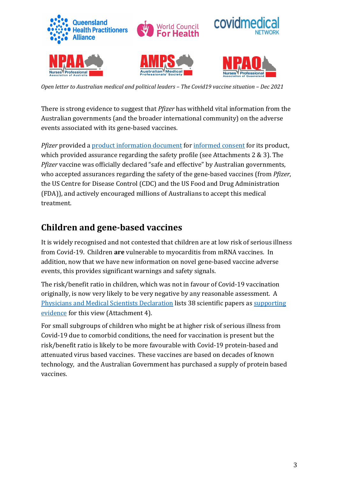

There is strong evidence to suggest that *Pfizer* has withheld vital information from the Australian governments (and the broader international community) on the adverse events associated with its gene-based vaccines.

*Pfizer* provided a product information document for informed consent for its product, which provided assurance regarding the safety profile (see Attachments  $2 \& 3$ ). The *Pfizer* vaccine was officially declared "safe and effective" by Australian governments, who accepted assurances regarding the safety of the gene-based vaccines (from *Pfizer*, the US Centre for Disease Control (CDC) and the US Food and Drug Administration (FDA)), and actively encouraged millions of Australians to accept this medical treatment. 

## **Children and gene-based vaccines**

It is widely recognised and not contested that children are at low risk of serious illness from Covid-19. Children are vulnerable to myocarditis from mRNA vaccines. In addition, now that we have new information on novel gene-based vaccine adverse events, this provides significant warnings and safety signals.

The risk/benefit ratio in children, which was not in favour of Covid-19 vaccination originally, is now very likely to be very negative by any reasonable assessment. A Physicians and Medical Scientists Declaration lists 38 scientific papers as supporting evidence for this view (Attachment 4).

For small subgroups of children who might be at higher risk of serious illness from Covid-19 due to comorbid conditions, the need for vaccination is present but the risk/benefit ratio is likely to be more favourable with Covid-19 protein-based and attenuated virus based vaccines. These vaccines are based on decades of known technology, and the Australian Government has purchased a supply of protein based vaccines.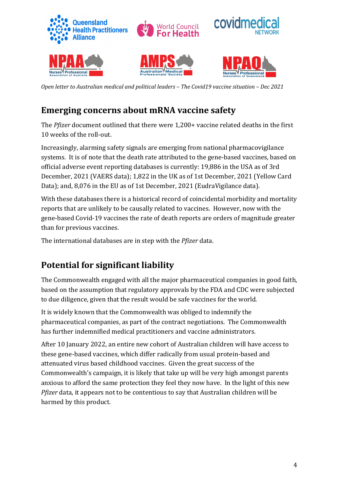

# **Emerging concerns about mRNA vaccine safety**

The *Pfizer* document outlined that there were 1,200+ vaccine related deaths in the first 10 weeks of the roll-out.

Increasingly, alarming safety signals are emerging from national pharmacovigilance systems. It is of note that the death rate attributed to the gene-based vaccines, based on official adverse event reporting databases is currently: 19,886 in the USA as of 3rd December, 2021 (VAERS data); 1,822 in the UK as of 1st December, 2021 (Yellow Card Data); and, 8,076 in the EU as of 1st December, 2021 (EudraVigilance data).

With these databases there is a historical record of coincidental morbidity and mortality reports that are unlikely to be causally related to vaccines. However, now with the gene-based Covid-19 vaccines the rate of death reports are orders of magnitude greater than for previous vaccines.

The international databases are in step with the *Pfizer* data.

# **Potential for significant liability**

The Commonwealth engaged with all the major pharmaceutical companies in good faith, based on the assumption that regulatory approvals by the FDA and CDC were subjected to due diligence, given that the result would be safe vaccines for the world.

It is widely known that the Commonwealth was obliged to indemnify the pharmaceutical companies, as part of the contract negotiations. The Commonwealth has further indemnified medical practitioners and vaccine administrators.

After 10 January 2022, an entire new cohort of Australian children will have access to these gene-based vaccines, which differ radically from usual protein-based and attenuated virus based childhood vaccines. Given the great success of the Commonwealth's campaign, it is likely that take up will be very high amongst parents anxious to afford the same protection they feel they now have. In the light of this new *Pfizer* data, it appears not to be contentious to say that Australian children will be harmed by this product.